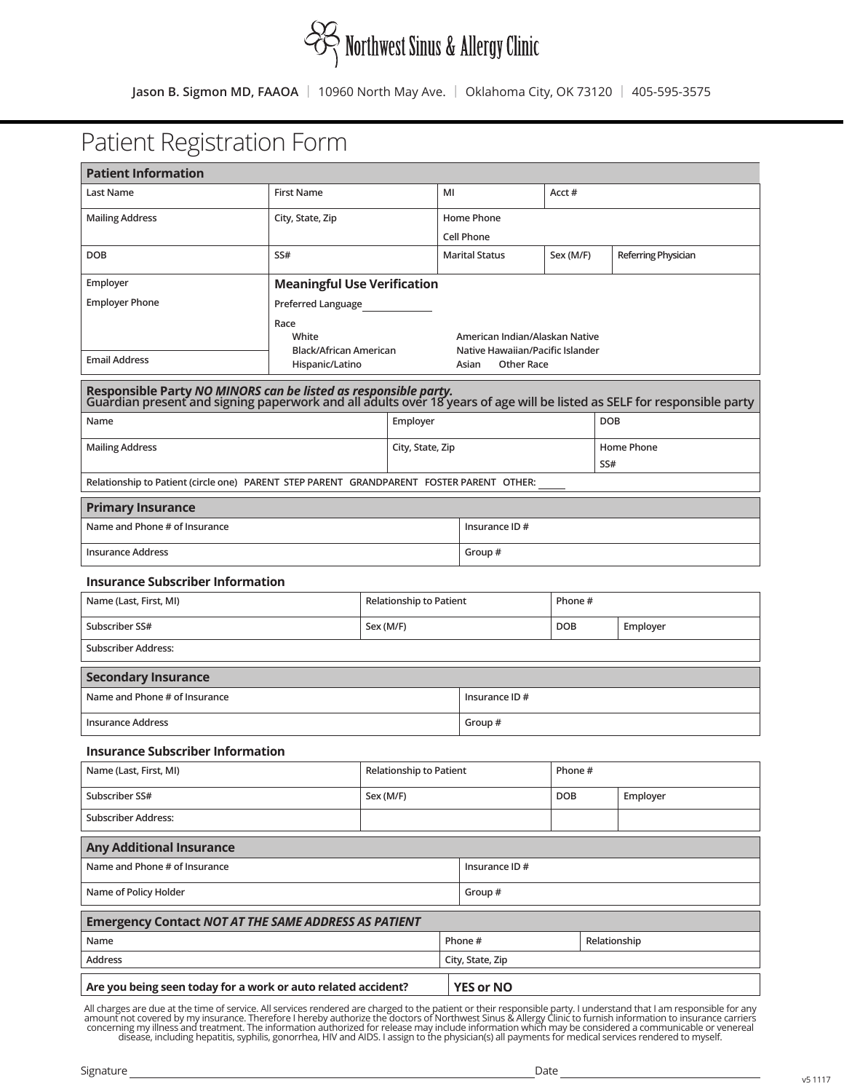

# Patient Registration Form

| <b>Patient Information</b>                                                                                                                                                                 |                                    |  |                   |                       |                                                                    |            |                     |            |  |
|--------------------------------------------------------------------------------------------------------------------------------------------------------------------------------------------|------------------------------------|--|-------------------|-----------------------|--------------------------------------------------------------------|------------|---------------------|------------|--|
| Last Name                                                                                                                                                                                  | <b>First Name</b>                  |  | MI                | Acct#                 |                                                                    |            |                     |            |  |
| <b>Mailing Address</b>                                                                                                                                                                     | City, State, Zip                   |  | Home Phone        |                       |                                                                    |            |                     |            |  |
|                                                                                                                                                                                            |                                    |  | <b>Cell Phone</b> |                       |                                                                    |            |                     |            |  |
| <b>DOB</b>                                                                                                                                                                                 | SS#                                |  |                   | <b>Marital Status</b> | Sex (M/F)                                                          |            | Referring Physician |            |  |
| Employer                                                                                                                                                                                   | <b>Meaningful Use Verification</b> |  |                   |                       |                                                                    |            |                     |            |  |
| <b>Employer Phone</b>                                                                                                                                                                      | Preferred Language                 |  |                   |                       |                                                                    |            |                     |            |  |
|                                                                                                                                                                                            | Race<br>White                      |  |                   |                       |                                                                    |            |                     |            |  |
|                                                                                                                                                                                            | Black/African American             |  |                   |                       | American Indian/Alaskan Native<br>Native Hawaiian/Pacific Islander |            |                     |            |  |
| <b>Email Address</b>                                                                                                                                                                       | Hispanic/Latino                    |  |                   |                       | <b>Other Race</b><br>Asian                                         |            |                     |            |  |
| Responsible Party NO MINORS can be listed as responsible party.<br>Guardian present and signing paperwork and all adults over 18 years of age will be listed as SELF for responsible party |                                    |  |                   |                       |                                                                    |            |                     |            |  |
| Name                                                                                                                                                                                       |                                    |  | Employer          |                       |                                                                    |            |                     | <b>DOB</b> |  |
| <b>Mailing Address</b>                                                                                                                                                                     |                                    |  | City, State, Zip  |                       |                                                                    |            |                     | Home Phone |  |
| Relationship to Patient (circle one) PARENT STEP PARENT GRANDPARENT FOSTER PARENT OTHER:                                                                                                   |                                    |  |                   |                       |                                                                    |            |                     | SS#        |  |
|                                                                                                                                                                                            |                                    |  |                   |                       |                                                                    |            |                     |            |  |
| <b>Primary Insurance</b><br>Name and Phone # of Insurance                                                                                                                                  |                                    |  |                   |                       | Insurance ID #                                                     |            |                     |            |  |
|                                                                                                                                                                                            |                                    |  |                   |                       |                                                                    |            |                     |            |  |
| <b>Insurance Address</b>                                                                                                                                                                   |                                    |  |                   |                       | Group#                                                             |            |                     |            |  |
| <b>Insurance Subscriber Information</b>                                                                                                                                                    |                                    |  |                   |                       |                                                                    |            |                     |            |  |
| Name (Last, First, MI)<br><b>Relationship to Patient</b>                                                                                                                                   |                                    |  |                   | Phone #               |                                                                    |            |                     |            |  |
| Subscriber SS#<br>Sex (M/F)                                                                                                                                                                |                                    |  |                   |                       | <b>DOB</b>                                                         |            | Employer            |            |  |
| <b>Subscriber Address:</b>                                                                                                                                                                 |                                    |  |                   |                       |                                                                    |            |                     |            |  |
| <b>Secondary Insurance</b>                                                                                                                                                                 |                                    |  |                   |                       |                                                                    |            |                     |            |  |
| Name and Phone # of Insurance                                                                                                                                                              |                                    |  |                   |                       | Insurance ID #                                                     |            |                     |            |  |
| <b>Insurance Address</b>                                                                                                                                                                   |                                    |  |                   |                       | Group#                                                             |            |                     |            |  |
| <b>Insurance Subscriber Information</b>                                                                                                                                                    |                                    |  |                   |                       |                                                                    |            |                     |            |  |
| Name (Last, First, MI)                                                                                                                                                                     | <b>Relationship to Patient</b>     |  |                   |                       | Phone#                                                             |            |                     |            |  |
| Subscriber SS#                                                                                                                                                                             | Sex (M/F)                          |  |                   |                       |                                                                    | <b>DOB</b> |                     | Employer   |  |
| <b>Subscriber Address:</b>                                                                                                                                                                 |                                    |  |                   |                       |                                                                    |            |                     |            |  |
| <b>Any Additional Insurance</b>                                                                                                                                                            |                                    |  |                   |                       |                                                                    |            |                     |            |  |
| Name and Phone # of Insurance                                                                                                                                                              |                                    |  |                   | Insurance ID #        |                                                                    |            |                     |            |  |
| Name of Policy Holder                                                                                                                                                                      |                                    |  |                   | Group#                |                                                                    |            |                     |            |  |
| <b>Emergency Contact NOT AT THE SAME ADDRESS AS PATIENT</b>                                                                                                                                |                                    |  |                   |                       |                                                                    |            |                     |            |  |
| Name                                                                                                                                                                                       |                                    |  |                   |                       | Phone #<br>Relationship                                            |            |                     |            |  |
| Address                                                                                                                                                                                    |                                    |  | City, State, Zip  |                       |                                                                    |            |                     |            |  |
| <b>YES or NO</b><br>Are you being seen today for a work or auto related accident?                                                                                                          |                                    |  |                   |                       |                                                                    |            |                     |            |  |

All charges are due at the time of service. All services rendered are charged to the patient or their responsible party. I understand that I am responsible for any<br>amount not covered by my insurance. Therefore I hereby aut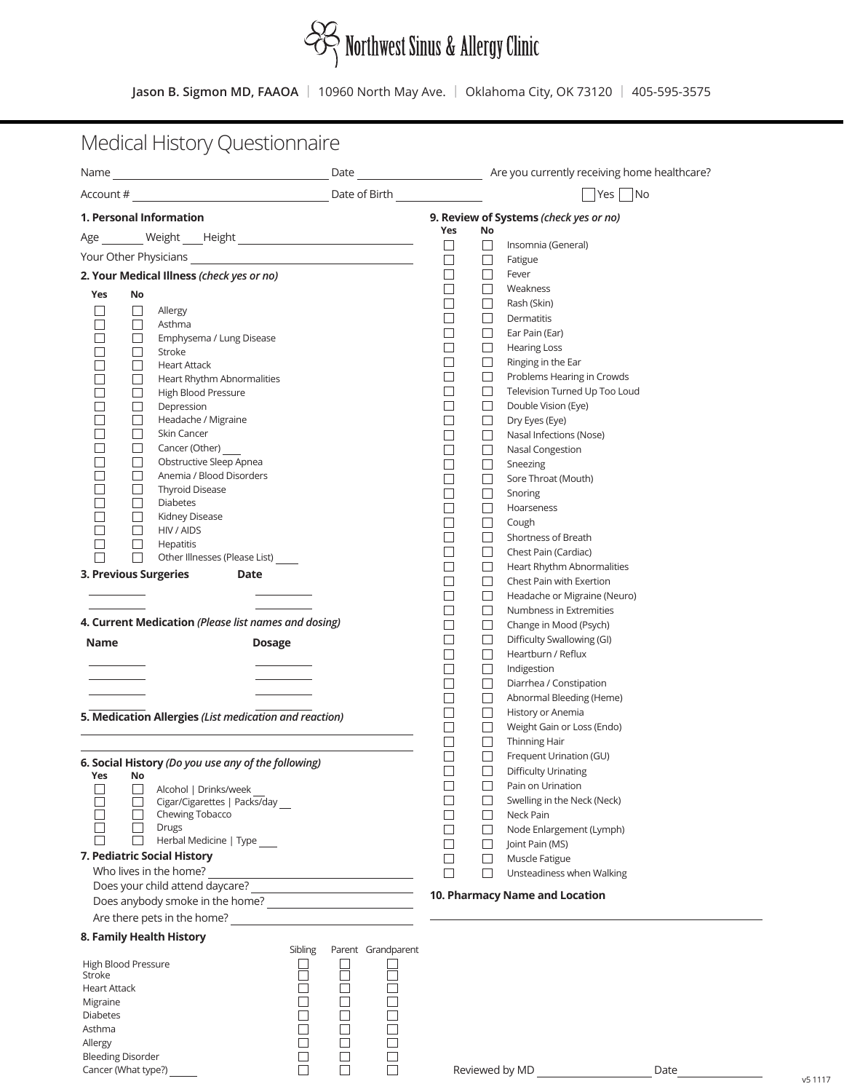

# Medical History Questionnaire

|                                                        |                    |                                        | $ $ Yes $ $<br> No       |                                       |
|--------------------------------------------------------|--------------------|----------------------------------------|--------------------------|---------------------------------------|
| 1. Personal Information                                |                    | 9. Review of Systems (check yes or no) |                          |                                       |
|                                                        |                    | Yes                                    | No                       |                                       |
| Your Other Physicians                                  |                    | $\Box$<br>$\Box$                       | $\Box$                   | Insomnia (General)                    |
| 2. Your Medical Illness (check yes or no)              |                    | $\Box$                                 | $\Box$<br>$\Box$         | Fatigue<br>Fever                      |
|                                                        |                    | П                                      | П                        | Weakness                              |
| Yes<br>No                                              |                    | П                                      | $\Box$                   | Rash (Skin)                           |
| Allergy<br>ப<br>$\mathbf{I}$<br>□<br>Asthma            |                    | П                                      | $\overline{\phantom{a}}$ | Dermatitis                            |
| П<br>Emphysema / Lung Disease                          |                    |                                        | □                        | Ear Pain (Ear)                        |
| Stroke<br>⊔                                            |                    | П                                      | $\Box$                   | <b>Hearing Loss</b>                   |
| $\Box$<br><b>Heart Attack</b>                          |                    | П                                      | $\Box$                   | Ringing in the Ear                    |
| □<br>Heart Rhythm Abnormalities                        |                    | $\Box$                                 | $\Box$                   | Problems Hearing in Crowds            |
| $\mathcal{L}$<br>High Blood Pressure                   |                    | $\Box$<br>П                            | $\Box$                   | Television Turned Up Too Loud         |
| П<br>Depression<br>Headache / Migraine<br>Ш            |                    | $\mathbf{L}$                           | $\Box$<br>$\Box$         | Double Vision (Eye)<br>Dry Eyes (Eye) |
| $\Box$<br>Skin Cancer                                  |                    | $\overline{\phantom{a}}$               | ⊔                        | Nasal Infections (Nose)               |
| Cancer (Other)<br>□                                    |                    | П                                      | $\Box$                   | Nasal Congestion                      |
| □<br>Obstructive Sleep Apnea                           |                    | П                                      | $\Box$                   | Sneezing                              |
| П<br>Anemia / Blood Disorders                          |                    | П                                      | $\Box$                   | Sore Throat (Mouth)                   |
| $\Box$<br><b>Thyroid Disease</b>                       |                    | П                                      | ப                        | Snoring                               |
| $\Box$<br><b>Diabetes</b>                              |                    | П                                      | $\Box$                   | Hoarseness                            |
| ⊔<br>Kidney Disease                                    |                    |                                        | $\Box$                   | Cough                                 |
| П<br>HIV / AIDS<br>$\Box$<br>Hepatitis                 |                    |                                        | П                        | Shortness of Breath                   |
| П<br>□<br>Other Illnesses (Please List) _____          |                    | $\blacksquare$                         | $\Box$                   | Chest Pain (Cardiac)                  |
| 3. Previous Surgeries<br>Date                          |                    |                                        | $\Box$                   | Heart Rhythm Abnormalities            |
|                                                        |                    | П                                      | $\Box$                   | Chest Pain with Exertion              |
|                                                        |                    | П                                      | $\Box$                   | Headache or Migraine (Neuro)          |
|                                                        |                    | □                                      | $\Box$                   | Numbness in Extremities               |
| 4. Current Medication (Please list names and dosing)   |                    | □                                      | $\Box$                   | Change in Mood (Psych)                |
| <b>Name</b><br><b>Dosage</b>                           |                    | П                                      | $\Box$                   | Difficulty Swallowing (GI)            |
|                                                        |                    | H                                      | $\Box$<br>ப              | Heartburn / Reflux<br>Indigestion     |
|                                                        |                    | $\overline{\phantom{a}}$               | ப                        | Diarrhea / Constipation               |
|                                                        |                    | П                                      | $\Box$                   | Abnormal Bleeding (Heme)              |
|                                                        |                    |                                        | $\Box$                   | History or Anemia                     |
| 5. Medication Allergies (List medication and reaction) |                    |                                        | $\Box$                   | Weight Gain or Loss (Endo)            |
|                                                        |                    |                                        | $\Box$                   | Thinning Hair                         |
| 6. Social History (Do you use any of the following)    |                    | $\Box$                                 | $\Box$                   | Frequent Urination (GU)               |
| Yes<br>No                                              |                    |                                        | $\Box$                   | <b>Difficulty Urinating</b>           |
| Alcohol   Drinks/week                                  |                    |                                        |                          | Pain on Urination                     |
| Cigar/Cigarettes   Packs/day __                        |                    |                                        |                          | Swelling in the Neck (Neck)           |
| Chewing Tobacco                                        |                    |                                        |                          | Neck Pain                             |
| <b>Drugs</b><br>Herbal Medicine   Type                 |                    |                                        |                          | Node Enlargement (Lymph)              |
| 7. Pediatric Social History                            |                    |                                        | $\mathsf{I}$             | Joint Pain (MS)                       |
| Who lives in the home?                                 |                    |                                        |                          | Muscle Fatigue                        |
| <u> 1980 - Johann Barbara, martxa alemaniar arg</u>    |                    |                                        |                          | Unsteadiness when Walking             |
|                                                        |                    |                                        |                          | 10. Pharmacy Name and Location        |
| Are there pets in the home?<br><u> </u>                |                    |                                        |                          |                                       |
| 8. Family Health History                               |                    |                                        |                          |                                       |
| Sibling                                                | Parent Grandparent |                                        |                          |                                       |
| High Blood Pressure                                    |                    |                                        |                          |                                       |
| <b>Stroke</b>                                          |                    |                                        |                          |                                       |
| <b>Heart Attack</b>                                    |                    |                                        |                          |                                       |
| Migraine<br><b>Diabetes</b>                            |                    |                                        |                          |                                       |
| Asthma                                                 |                    |                                        |                          |                                       |
| Allergy                                                |                    |                                        |                          |                                       |
| <b>Bleeding Disorder</b>                               |                    |                                        |                          |                                       |
| Cancer (What type?)                                    |                    |                                        |                          | Reviewed by MD<br>Date                |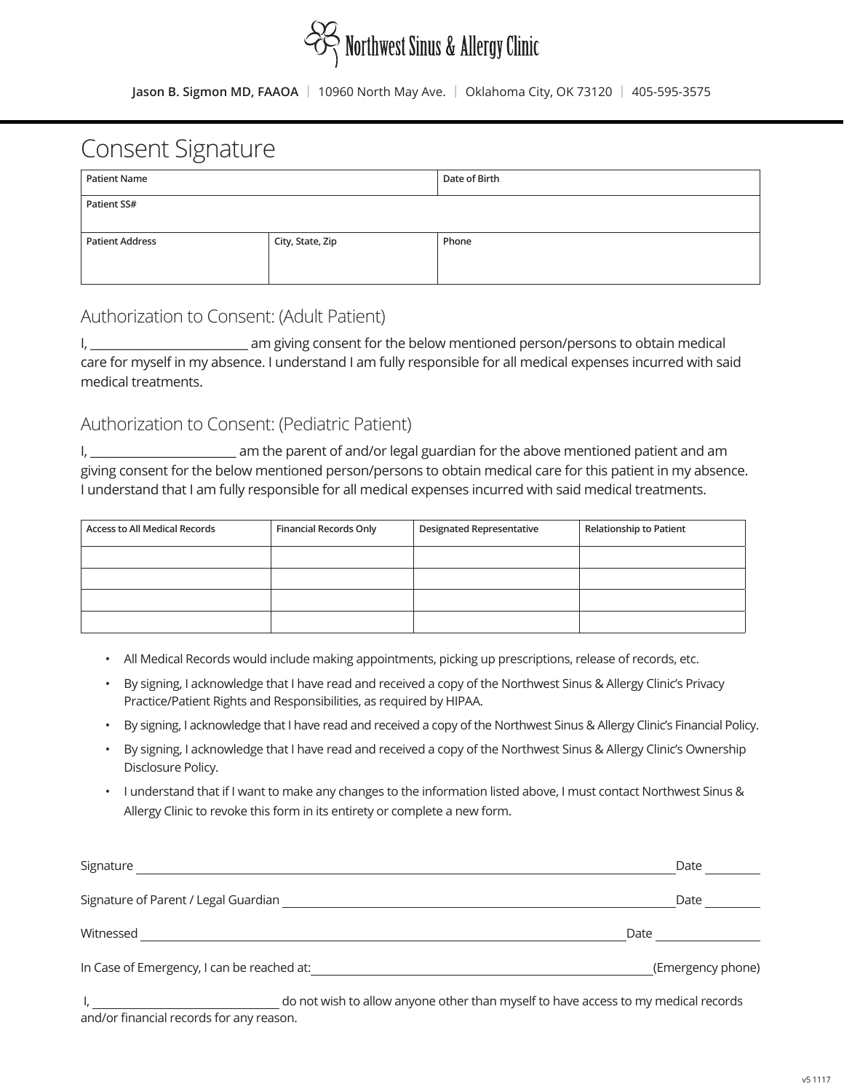# $\frac{1}{\sqrt{2}}$  Northwest Sinus & Allergy Clinic

**Jason B. Sigmon MD, FAAOA** | 10960 North May Ave. | Oklahoma City, OK 73120 | 405-595-3575

# Consent Signature

| <b>Patient Name</b>    |                  | Date of Birth |
|------------------------|------------------|---------------|
| Patient SS#            |                  |               |
| <b>Patient Address</b> | City, State, Zip | Phone         |
|                        |                  |               |

### Authorization to Consent: (Adult Patient)

I, \_\_\_\_\_\_\_\_\_\_\_\_\_\_\_\_\_\_\_\_\_\_\_\_\_\_\_ am giving consent for the below mentioned person/persons to obtain medical care for myself in my absence. I understand I am fully responsible for all medical expenses incurred with said medical treatments.

### Authorization to Consent: (Pediatric Patient)

I, \_\_\_\_\_\_\_\_\_\_\_\_\_\_\_\_\_\_\_\_\_\_\_\_\_ am the parent of and/or legal guardian for the above mentioned patient and am giving consent for the below mentioned person/persons to obtain medical care for this patient in my absence. I understand that I am fully responsible for all medical expenses incurred with said medical treatments.

| <b>Access to All Medical Records</b> | Financial Records Only | <b>Designated Representative</b> | <b>Relationship to Patient</b> |
|--------------------------------------|------------------------|----------------------------------|--------------------------------|
|                                      |                        |                                  |                                |
|                                      |                        |                                  |                                |
|                                      |                        |                                  |                                |
|                                      |                        |                                  |                                |

- All Medical Records would include making appointments, picking up prescriptions, release of records, etc.
- By signing, I acknowledge that I have read and received a copy of the Northwest Sinus & Allergy Clinic's Privacy Practice/Patient Rights and Responsibilities, as required by HIPAA.
- By signing, I acknowledge that I have read and received a copy of the Northwest Sinus & Allergy Clinic's Financial Policy.
- By signing, I acknowledge that I have read and received a copy of the Northwest Sinus & Allergy Clinic's Ownership Disclosure Policy.
- I understand that if I want to make any changes to the information listed above, I must contact Northwest Sinus & Allergy Clinic to revoke this form in its entirety or complete a new form.

| Signature                                  | Date                                                                               |
|--------------------------------------------|------------------------------------------------------------------------------------|
| Signature of Parent / Legal Guardian       | Date                                                                               |
| Witnessed                                  | Date                                                                               |
| In Case of Emergency, I can be reached at: | (Emergency phone)                                                                  |
|                                            | do not wish to allow anyone other than myself to have access to my modical records |

I, do not wish to allow anyone other than myself to have access to my medical records

and/or financial records for any reason.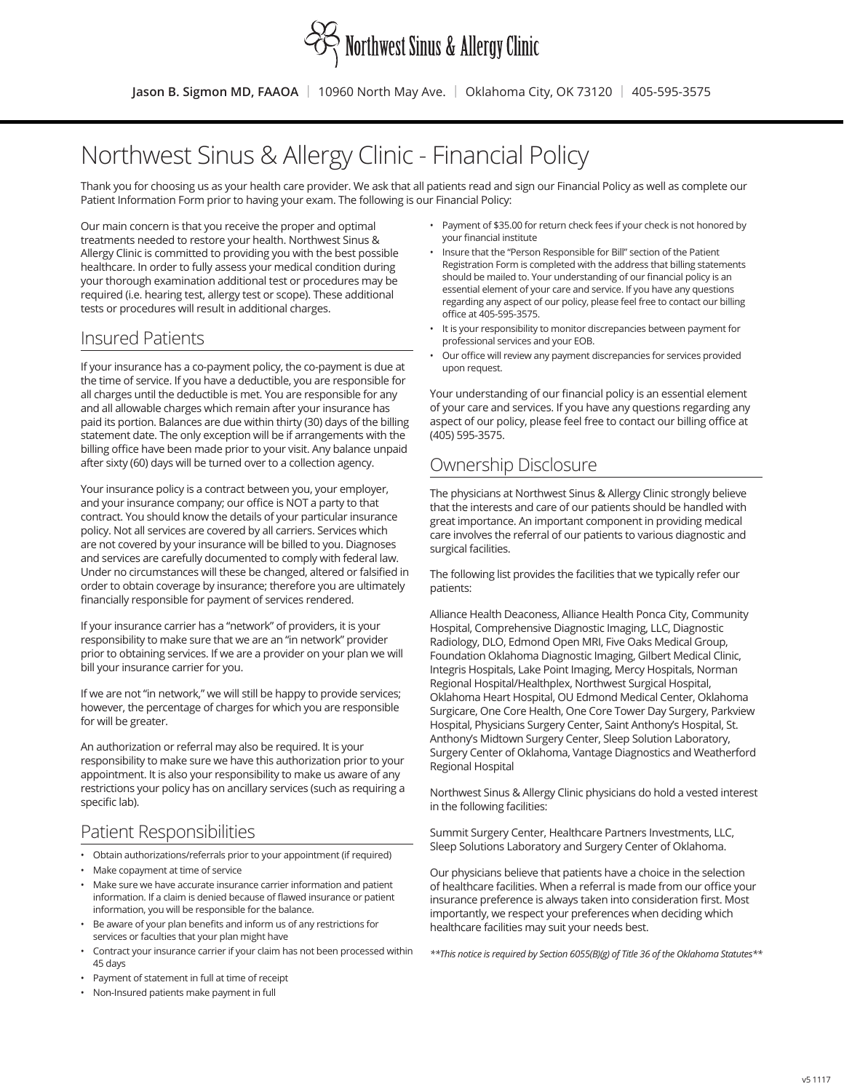

# Northwest Sinus & Allergy Clinic - Financial Policy

Thank you for choosing us as your health care provider. We ask that all patients read and sign our Financial Policy as well as complete our Patient Information Form prior to having your exam. The following is our Financial Policy:

Our main concern is that you receive the proper and optimal treatments needed to restore your health. Northwest Sinus & Allergy Clinic is committed to providing you with the best possible healthcare. In order to fully assess your medical condition during your thorough examination additional test or procedures may be required (i.e. hearing test, allergy test or scope). These additional tests or procedures will result in additional charges.

#### Insured Patients

If your insurance has a co-payment policy, the co-payment is due at the time of service. If you have a deductible, you are responsible for all charges until the deductible is met. You are responsible for any and all allowable charges which remain after your insurance has paid its portion. Balances are due within thirty (30) days of the billing statement date. The only exception will be if arrangements with the billing office have been made prior to your visit. Any balance unpaid after sixty (60) days will be turned over to a collection agency.

Your insurance policy is a contract between you, your employer, and your insurance company; our office is NOT a party to that contract. You should know the details of your particular insurance policy. Not all services are covered by all carriers. Services which are not covered by your insurance will be billed to you. Diagnoses and services are carefully documented to comply with federal law. Under no circumstances will these be changed, altered or falsified in order to obtain coverage by insurance; therefore you are ultimately financially responsible for payment of services rendered.

If your insurance carrier has a "network" of providers, it is your responsibility to make sure that we are an "in network" provider prior to obtaining services. If we are a provider on your plan we will bill your insurance carrier for you.

If we are not "in network," we will still be happy to provide services; however, the percentage of charges for which you are responsible for will be greater.

An authorization or referral may also be required. It is your responsibility to make sure we have this authorization prior to your appointment. It is also your responsibility to make us aware of any restrictions your policy has on ancillary services (such as requiring a specific lab).

### Patient Responsibilities

- Obtain authorizations/referrals prior to your appointment (if required)
- Make copayment at time of service
- Make sure we have accurate insurance carrier information and patient information. If a claim is denied because of flawed insurance or patient information, you will be responsible for the balance.
- Be aware of your plan benefits and inform us of any restrictions for services or faculties that your plan might have
- Contract your insurance carrier if your claim has not been processed within 45 days
- Payment of statement in full at time of receipt
- Non-Insured patients make payment in full
- Payment of \$35.00 for return check fees if your check is not honored by your financial institute
- Insure that the "Person Responsible for Bill" section of the Patient Registration Form is completed with the address that billing statements should be mailed to. Your understanding of our financial policy is an essential element of your care and service. If you have any questions regarding any aspect of our policy, please feel free to contact our billing office at 405-595-3575.
- It is your responsibility to monitor discrepancies between payment for professional services and your EOB.
- Our office will review any payment discrepancies for services provided upon request.

Your understanding of our financial policy is an essential element of your care and services. If you have any questions regarding any aspect of our policy, please feel free to contact our billing office at (405) 595-3575.

### Ownership Disclosure

The physicians at Northwest Sinus & Allergy Clinic strongly believe that the interests and care of our patients should be handled with great importance. An important component in providing medical care involves the referral of our patients to various diagnostic and surgical facilities.

The following list provides the facilities that we typically refer our patients:

Alliance Health Deaconess, Alliance Health Ponca City, Community Hospital, Comprehensive Diagnostic Imaging, LLC, Diagnostic Radiology, DLO, Edmond Open MRI, Five Oaks Medical Group, Foundation Oklahoma Diagnostic Imaging, Gilbert Medical Clinic, Integris Hospitals, Lake Point Imaging, Mercy Hospitals, Norman Regional Hospital/Healthplex, Northwest Surgical Hospital, Oklahoma Heart Hospital, OU Edmond Medical Center, Oklahoma Surgicare, One Core Health, One Core Tower Day Surgery, Parkview Hospital, Physicians Surgery Center, Saint Anthony's Hospital, St. Anthony's Midtown Surgery Center, Sleep Solution Laboratory, Surgery Center of Oklahoma, Vantage Diagnostics and Weatherford Regional Hospital

Northwest Sinus & Allergy Clinic physicians do hold a vested interest in the following facilities:

Summit Surgery Center, Healthcare Partners Investments, LLC, Sleep Solutions Laboratory and Surgery Center of Oklahoma.

Our physicians believe that patients have a choice in the selection of healthcare facilities. When a referral is made from our office your insurance preference is always taken into consideration first. Most importantly, we respect your preferences when deciding which healthcare facilities may suit your needs best.

*\*\*This notice is required by Section 6055(B)(g) of Title 36 of the Oklahoma Statutes\*\**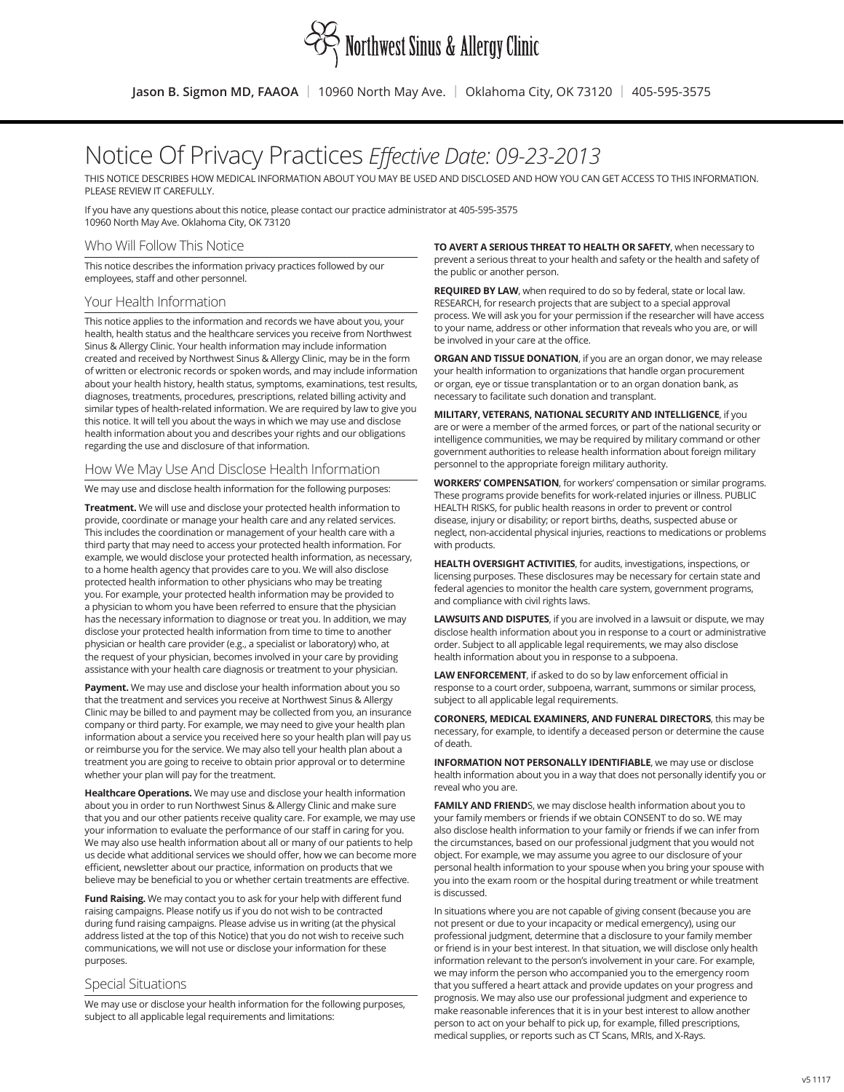

# Notice Of Privacy Practices *Effective Date: 09-23-2013*

THIS NOTICE DESCRIBES HOW MEDICAL INFORMATION ABOUT YOU MAY BE USED AND DISCLOSED AND HOW YOU CAN GET ACCESS TO THIS INFORMATION. PLEASE REVIEW IT CAREFULLY.

If you have any questions about this notice, please contact our practice administrator at 405-595-3575 10960 North May Ave. Oklahoma City, OK 73120

#### Who Will Follow This Notice

This notice describes the information privacy practices followed by our employees, staff and other personnel.

#### Your Health Information

This notice applies to the information and records we have about you, your health, health status and the healthcare services you receive from Northwest Sinus & Allergy Clinic. Your health information may include information created and received by Northwest Sinus & Allergy Clinic, may be in the form of written or electronic records or spoken words, and may include information about your health history, health status, symptoms, examinations, test results, diagnoses, treatments, procedures, prescriptions, related billing activity and similar types of health-related information. We are required by law to give you this notice. It will tell you about the ways in which we may use and disclose health information about you and describes your rights and our obligations regarding the use and disclosure of that information.

#### How We May Use And Disclose Health Information

We may use and disclose health information for the following purposes:

**Treatment.** We will use and disclose your protected health information to provide, coordinate or manage your health care and any related services. This includes the coordination or management of your health care with a third party that may need to access your protected health information. For example, we would disclose your protected health information, as necessary, to a home health agency that provides care to you. We will also disclose protected health information to other physicians who may be treating you. For example, your protected health information may be provided to a physician to whom you have been referred to ensure that the physician has the necessary information to diagnose or treat you. In addition, we may disclose your protected health information from time to time to another physician or health care provider (e.g., a specialist or laboratory) who, at the request of your physician, becomes involved in your care by providing assistance with your health care diagnosis or treatment to your physician.

Payment. We may use and disclose your health information about you so that the treatment and services you receive at Northwest Sinus & Allergy Clinic may be billed to and payment may be collected from you, an insurance company or third party. For example, we may need to give your health plan information about a service you received here so your health plan will pay us or reimburse you for the service. We may also tell your health plan about a treatment you are going to receive to obtain prior approval or to determine whether your plan will pay for the treatment.

**Healthcare Operations.** We may use and disclose your health information about you in order to run Northwest Sinus & Allergy Clinic and make sure that you and our other patients receive quality care. For example, we may use your information to evaluate the performance of our staff in caring for you. We may also use health information about all or many of our patients to help us decide what additional services we should offer, how we can become more efficient, newsletter about our practice, information on products that we believe may be beneficial to you or whether certain treatments are effective.

**Fund Raising.** We may contact you to ask for your help with different fund raising campaigns. Please notify us if you do not wish to be contracted during fund raising campaigns. Please advise us in writing (at the physical address listed at the top of this Notice) that you do not wish to receive such communications, we will not use or disclose your information for these purposes.

#### Special Situations

We may use or disclose your health information for the following purposes, subject to all applicable legal requirements and limitations:

**TO AVERT A SERIOUS THREAT TO HEALTH OR SAFETY**, when necessary to prevent a serious threat to your health and safety or the health and safety of the public or another person.

**REQUIRED BY LAW**, when required to do so by federal, state or local law. RESEARCH, for research projects that are subject to a special approval process. We will ask you for your permission if the researcher will have access to your name, address or other information that reveals who you are, or will be involved in your care at the office.

**ORGAN AND TISSUE DONATION**, if you are an organ donor, we may release your health information to organizations that handle organ procurement or organ, eye or tissue transplantation or to an organ donation bank, as necessary to facilitate such donation and transplant.

**MILITARY, VETERANS, NATIONAL SECURITY AND INTELLIGENCE**, if you are or were a member of the armed forces, or part of the national security or intelligence communities, we may be required by military command or other government authorities to release health information about foreign military personnel to the appropriate foreign military authority.

**WORKERS' COMPENSATION**, for workers' compensation or similar programs. These programs provide benefits for work-related injuries or illness. PUBLIC HEALTH RISKS, for public health reasons in order to prevent or control disease, injury or disability; or report births, deaths, suspected abuse or neglect, non-accidental physical injuries, reactions to medications or problems with products.

**HEALTH OVERSIGHT ACTIVITIES**, for audits, investigations, inspections, or licensing purposes. These disclosures may be necessary for certain state and federal agencies to monitor the health care system, government programs, and compliance with civil rights laws.

**LAWSUITS AND DISPUTES**, if you are involved in a lawsuit or dispute, we may disclose health information about you in response to a court or administrative order. Subject to all applicable legal requirements, we may also disclose health information about you in response to a subpoena.

**LAW ENFORCEMENT**, if asked to do so by law enforcement official in response to a court order, subpoena, warrant, summons or similar process, subject to all applicable legal requirements.

**CORONERS, MEDICAL EXAMINERS, AND FUNERAL DIRECTORS**, this may be necessary, for example, to identify a deceased person or determine the cause of death.

**INFORMATION NOT PERSONALLY IDENTIFIABLE**, we may use or disclose health information about you in a way that does not personally identify you or reveal who you are.

**FAMILY AND FRIEND**S, we may disclose health information about you to your family members or friends if we obtain CONSENT to do so. WE may also disclose health information to your family or friends if we can infer from the circumstances, based on our professional judgment that you would not object. For example, we may assume you agree to our disclosure of your personal health information to your spouse when you bring your spouse with you into the exam room or the hospital during treatment or while treatment is discussed.

In situations where you are not capable of giving consent (because you are not present or due to your incapacity or medical emergency), using our professional judgment, determine that a disclosure to your family member or friend is in your best interest. In that situation, we will disclose only health information relevant to the person's involvement in your care. For example, we may inform the person who accompanied you to the emergency room that you suffered a heart attack and provide updates on your progress and prognosis. We may also use our professional judgment and experience to make reasonable inferences that it is in your best interest to allow another person to act on your behalf to pick up, for example, filled prescriptions, medical supplies, or reports such as CT Scans, MRIs, and X-Rays.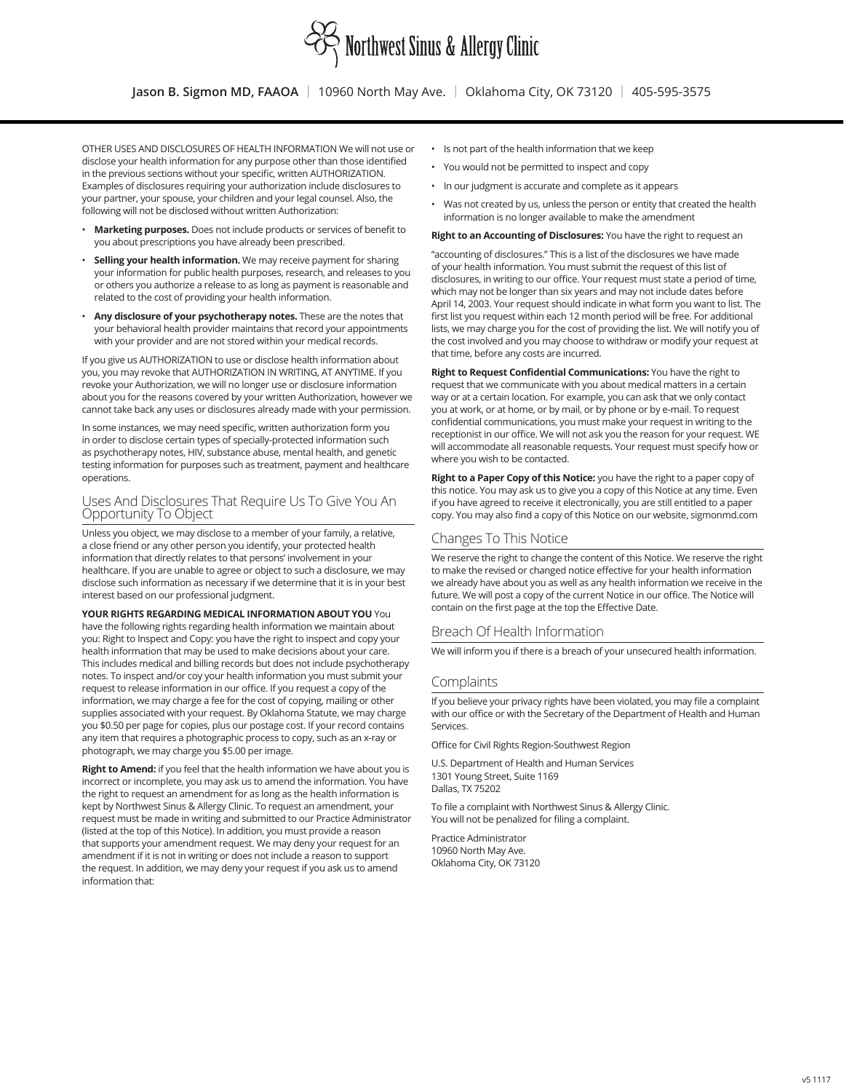

OTHER USES AND DISCLOSURES OF HEALTH INFORMATION We will not use or disclose your health information for any purpose other than those identified in the previous sections without your specific, written AUTHORIZATION. Examples of disclosures requiring your authorization include disclosures to your partner, your spouse, your children and your legal counsel. Also, the following will not be disclosed without written Authorization:

- **Marketing purposes.** Does not include products or services of benefit to you about prescriptions you have already been prescribed.
- **Selling your health information.** We may receive payment for sharing your information for public health purposes, research, and releases to you or others you authorize a release to as long as payment is reasonable and related to the cost of providing your health information.
- **Any disclosure of your psychotherapy notes.** These are the notes that your behavioral health provider maintains that record your appointments with your provider and are not stored within your medical records.

If you give us AUTHORIZATION to use or disclose health information about you, you may revoke that AUTHORIZATION IN WRITING, AT ANYTIME. If you revoke your Authorization, we will no longer use or disclosure information about you for the reasons covered by your written Authorization, however we cannot take back any uses or disclosures already made with your permission.

In some instances, we may need specific, written authorization form you in order to disclose certain types of specially-protected information such as psychotherapy notes, HIV, substance abuse, mental health, and genetic testing information for purposes such as treatment, payment and healthcare operations.

#### Uses And Disclosures That Require Us To Give You An Opportunity To Object

Unless you object, we may disclose to a member of your family, a relative, a close friend or any other person you identify, your protected health information that directly relates to that persons' involvement in your healthcare. If you are unable to agree or object to such a disclosure, we may disclose such information as necessary if we determine that it is in your best interest based on our professional judgment.

#### **YOUR RIGHTS REGARDING MEDICAL INFORMATION ABOUT YOU** You

have the following rights regarding health information we maintain about you: Right to Inspect and Copy: you have the right to inspect and copy your health information that may be used to make decisions about your care. This includes medical and billing records but does not include psychotherapy notes. To inspect and/or coy your health information you must submit your request to release information in our office. If you request a copy of the information, we may charge a fee for the cost of copying, mailing or other supplies associated with your request. By Oklahoma Statute, we may charge you \$0.50 per page for copies, plus our postage cost. If your record contains any item that requires a photographic process to copy, such as an x-ray or photograph, we may charge you \$5.00 per image.

**Right to Amend:** if you feel that the health information we have about you is incorrect or incomplete, you may ask us to amend the information. You have the right to request an amendment for as long as the health information is kept by Northwest Sinus & Allergy Clinic. To request an amendment, your request must be made in writing and submitted to our Practice Administrator (listed at the top of this Notice). In addition, you must provide a reason that supports your amendment request. We may deny your request for an amendment if it is not in writing or does not include a reason to support the request. In addition, we may deny your request if you ask us to amend information that:

- Is not part of the health information that we keep
- You would not be permitted to inspect and copy
- In our judgment is accurate and complete as it appears
- Was not created by us, unless the person or entity that created the health information is no longer available to make the amendment

**Right to an Accounting of Disclosures:** You have the right to request an

"accounting of disclosures." This is a list of the disclosures we have made of your health information. You must submit the request of this list of disclosures, in writing to our office. Your request must state a period of time, which may not be longer than six years and may not include dates before April 14, 2003. Your request should indicate in what form you want to list. The first list you request within each 12 month period will be free. For additional lists, we may charge you for the cost of providing the list. We will notify you of the cost involved and you may choose to withdraw or modify your request at that time, before any costs are incurred.

**Right to Request Confidential Communications:** You have the right to request that we communicate with you about medical matters in a certain way or at a certain location. For example, you can ask that we only contact you at work, or at home, or by mail, or by phone or by e-mail. To request confidential communications, you must make your request in writing to the receptionist in our office. We will not ask you the reason for your request. WE will accommodate all reasonable requests. Your request must specify how or where you wish to be contacted.

**Right to a Paper Copy of this Notice:** you have the right to a paper copy of this notice. You may ask us to give you a copy of this Notice at any time. Even if you have agreed to receive it electronically, you are still entitled to a paper copy. You may also find a copy of this Notice on our website, sigmonmd.com

#### Changes To This Notice

We reserve the right to change the content of this Notice. We reserve the right to make the revised or changed notice effective for your health information we already have about you as well as any health information we receive in the future. We will post a copy of the current Notice in our office. The Notice will contain on the first page at the top the Effective Date.

#### Breach Of Health Information

We will inform you if there is a breach of your unsecured health information.

#### Complaints

If you believe your privacy rights have been violated, you may file a complaint with our office or with the Secretary of the Department of Health and Human Services.

Office for Civil Rights Region-Southwest Region

U.S. Department of Health and Human Services 1301 Young Street, Suite 1169 Dallas, TX 75202

To file a complaint with Northwest Sinus & Allergy Clinic. You will not be penalized for filing a complaint.

Practice Administrator 10960 North May Ave. Oklahoma City, OK 73120